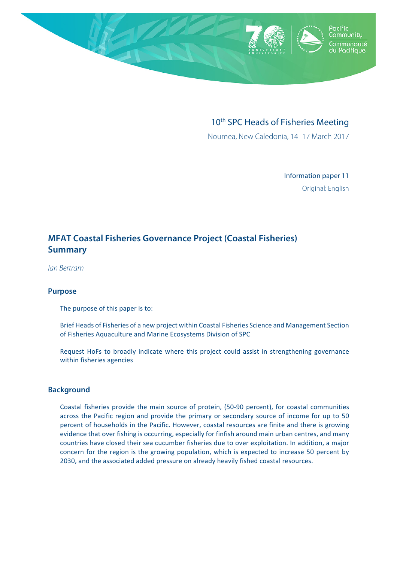

# 10<sup>th</sup> SPC Heads of Fisheries Meeting

Noumea, New Caledonia, 14–17 March 2017

Information paper 11 Original: English

# **MFAT Coastal Fisheries Governance Project (Coastal Fisheries) Summary**

*Ian Bertram* 

#### **Purpose**

The purpose of this paper is to:

Brief Heads of Fisheries of a new project within Coastal Fisheries Science and Management Section of Fisheries Aquaculture and Marine Ecosystems Division of SPC

Request HoFs to broadly indicate where this project could assist in strengthening governance within fisheries agencies

#### **Background**

Coastal fisheries provide the main source of protein, (50-90 percent), for coastal communities across the Pacific region and provide the primary or secondary source of income for up to 50 percent of households in the Pacific. However, coastal resources are finite and there is growing evidence that over fishing is occurring, especially for finfish around main urban centres, and many countries have closed their sea cucumber fisheries due to over exploitation. In addition, a major concern for the region is the growing population, which is expected to increase 50 percent by 2030, and the associated added pressure on already heavily fished coastal resources.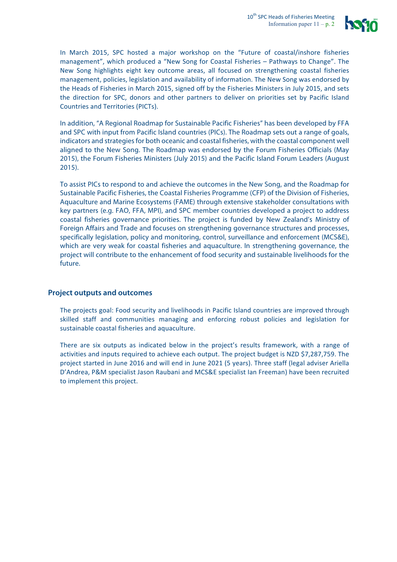

In March 2015, SPC hosted a major workshop on the "Future of coastal/inshore fisheries management", which produced a "New Song for Coastal Fisheries - Pathways to Change". The New Song highlights eight key outcome areas, all focused on strengthening coastal fisheries management, policies, legislation and availability of information. The New Song was endorsed by the Heads of Fisheries in March 2015, signed off by the Fisheries Ministers in July 2015, and sets the direction for SPC, donors and other partners to deliver on priorities set by Pacific Island Countries and Territories (PICTs).

In addition, "A Regional Roadmap for Sustainable Pacific Fisheries" has been developed by FFA and SPC with input from Pacific Island countries (PICs). The Roadmap sets out a range of goals, indicators and strategies for both oceanic and coastal fisheries, with the coastal component well aligned to the New Song. The Roadmap was endorsed by the Forum Fisheries Officials (May 2015), the Forum Fisheries Ministers (July 2015) and the Pacific Island Forum Leaders (August 2015).

To assist PICs to respond to and achieve the outcomes in the New Song, and the Roadmap for Sustainable Pacific Fisheries, the Coastal Fisheries Programme (CFP) of the Division of Fisheries, Aquaculture and Marine Ecosystems (FAME) through extensive stakeholder consultations with key partners (e.g. FAO, FFA, MPI), and SPC member countries developed a project to address coastal fisheries governance priorities. The project is funded by New Zealand's Ministry of Foreign Affairs and Trade and focuses on strengthening governance structures and processes, specifically legislation, policy and monitoring, control, surveillance and enforcement (MCS&E), which are very weak for coastal fisheries and aquaculture. In strengthening governance, the project will contribute to the enhancement of food security and sustainable livelihoods for the future.

#### **Project outputs and outcomes**

The projects goal: Food security and livelihoods in Pacific Island countries are improved through skilled staff and communities managing and enforcing robust policies and legislation for sustainable coastal fisheries and aquaculture.

There are six outputs as indicated below in the project's results framework, with a range of activities and inputs required to achieve each output. The project budget is NZD \$7,287,759. The project started in June 2016 and will end in June 2021 (5 years). Three staff (legal adviser Ariella D'Andrea, P&M specialist Jason Raubani and MCS&E specialist Ian Freeman) have been recruited to implement this project.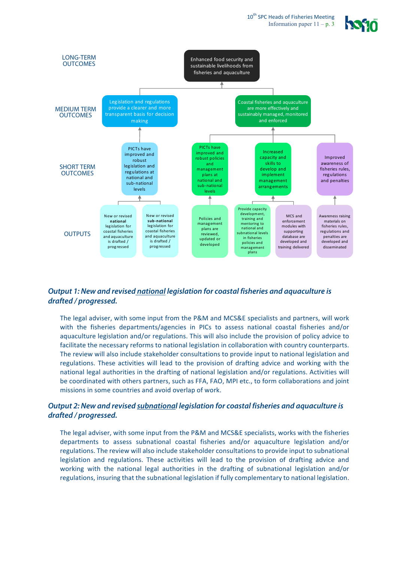10<sup>th</sup> SPC Heads of Fisheries Meeting Information paper  $11 - p$ . 3





### *Output 1: New and revised national legislation for coastal fisheries and aquaculture is drafted / progressed.*

The legal adviser, with some input from the P&M and MCS&E specialists and partners, will work with the fisheries departments/agencies in PICs to assess national coastal fisheries and/or aquaculture legislation and/or regulations. This will also include the provision of policy advice to facilitate the necessary reforms to national legislation in collaboration with country counterparts. The review will also include stakeholder consultations to provide input to national legislation and regulations. These activities will lead to the provision of drafting advice and working with the national legal authorities in the drafting of national legislation and/or regulations. Activities will be coordinated with others partners, such as FFA, FAO, MPI etc., to form collaborations and joint missions in some countries and avoid overlap of work.

#### *Output 2: New and revised subnational legislation for coastal fisheries and aquaculture is drafted / progressed.*

The legal adviser, with some input from the P&M and MCS&E specialists, works with the fisheries departments to assess subnational coastal fisheries and/or aquaculture legislation and/or regulations. The review will also include stakeholder consultations to provide input to subnational legislation and regulations. These activities will lead to the provision of drafting advice and working with the national legal authorities in the drafting of subnational legislation and/or regulations, insuring that the subnational legislation if fully complementary to national legislation.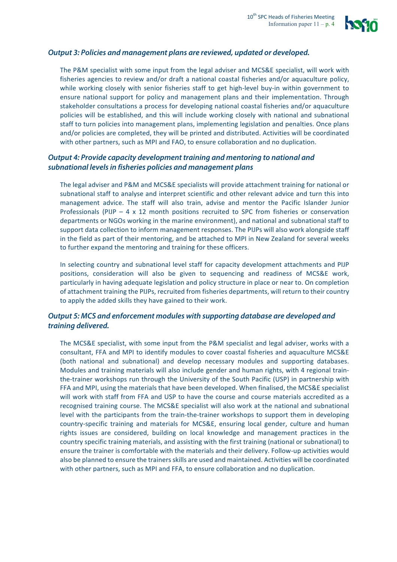

## *Output 3: Policies and management plans are reviewed, updated or developed.*

The P&M specialist with some input from the legal adviser and MCS&E specialist, will work with fisheries agencies to review and/or draft a national coastal fisheries and/or aquaculture policy, while working closely with senior fisheries staff to get high-level buy-in within government to ensure national support for policy and management plans and their implementation. Through stakeholder consultations a process for developing national coastal fisheries and/or aquaculture policies will be established, and this will include working closely with national and subnational staff to turn policies into management plans, implementing legislation and penalties. Once plans and/or policies are completed, they will be printed and distributed. Activities will be coordinated with other partners, such as MPI and FAO, to ensure collaboration and no duplication.

### *Output 4: Provide capacity development training and mentoring to national and subnational levels in fisheries policies and management plans*

The legal adviser and P&M and MCS&E specialists will provide attachment training for national or subnational staff to analyse and interpret scientific and other relevant advice and turn this into management advice. The staff will also train, advise and mentor the Pacific Islander Junior Professionals (PIJP  $-4 \times 12$  month positions recruited to SPC from fisheries or conservation departments or NGOs working in the marine environment), and national and subnational staff to support data collection to inform management responses. The PIJPs will also work alongside staff in the field as part of their mentoring, and be attached to MPI in New Zealand for several weeks to further expand the mentoring and training for these officers.

In selecting country and subnational level staff for capacity development attachments and PIJP positions, consideration will also be given to sequencing and readiness of MCS&E work, particularly in having adequate legislation and policy structure in place or near to. On completion of attachment training the PIJPs, recruited from fisheries departments, will return to their country to apply the added skills they have gained to their work.

#### *Output 5: MCS and enforcement modules with supporting database are developed and training delivered.*

The MCS&E specialist, with some input from the P&M specialist and legal adviser, works with a consultant, FFA and MPI to identify modules to cover coastal fisheries and aquaculture MCS&E (both national and subnational) and develop necessary modules and supporting databases. Modules and training materials will also include gender and human rights, with 4 regional trainthe-trainer workshops run through the University of the South Pacific (USP) in partnership with FFA and MPI, using the materials that have been developed. When finalised, the MCS&E specialist will work with staff from FFA and USP to have the course and course materials accredited as a recognised training course. The MCS&E specialist will also work at the national and subnational level with the participants from the train-the-trainer workshops to support them in developing country-specific training and materials for MCS&E, ensuring local gender, culture and human rights issues are considered, building on local knowledge and management practices in the country specific training materials, and assisting with the first training (national or subnational) to ensure the trainer is comfortable with the materials and their delivery. Follow-up activities would also be planned to ensure the trainers skills are used and maintained. Activities will be coordinated with other partners, such as MPI and FFA, to ensure collaboration and no duplication.